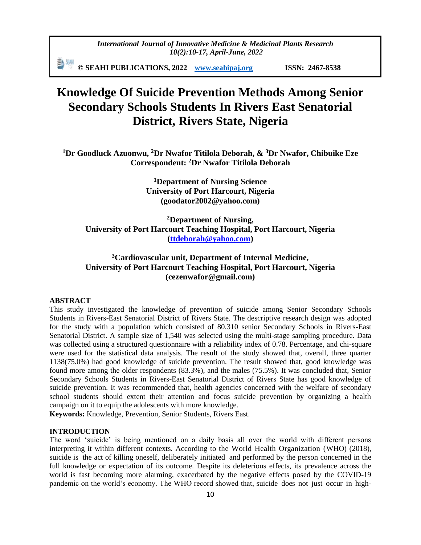*International Journal of Innovative Medicine & Medicinal Plants Research 10(2):10-17, April-June, 2022*

動洲 **© SEAHI PUBLICATIONS, 2022 [www.seahipaj.org](http://www.seahipaj.org/) ISSN: 2467-8538**

# **Knowledge Of Suicide Prevention Methods Among Senior Secondary Schools Students In Rivers East Senatorial District, Rivers State, Nigeria**

**<sup>1</sup>Dr Goodluck Azuonwu, <sup>2</sup>Dr Nwafor Titilola Deborah, & <sup>3</sup>Dr Nwafor, Chibuike Eze Correspondent: <sup>2</sup>Dr Nwafor Titilola Deborah**

> **<sup>1</sup>Department of Nursing Science University of Port Harcourt, Nigeria (goodator2002@yahoo.com)**

**<sup>2</sup>Department of Nursing, University of Port Harcourt Teaching Hospital, Port Harcourt, Nigeria [\(ttdeborah@yahoo.com\)](mailto:ttdeborah@yahoo.com)**

## **<sup>3</sup>Cardiovascular unit, Department of Internal Medicine, University of Port Harcourt Teaching Hospital, Port Harcourt, Nigeria (cezenwafor@gmail.com)**

### **ABSTRACT**

This study investigated the knowledge of prevention of suicide among Senior Secondary Schools Students in Rivers-East Senatorial District of Rivers State. The descriptive research design was adopted for the study with a population which consisted of 80,310 senior Secondary Schools in Rivers-East Senatorial District. A sample size of 1,540 was selected using the multi-stage sampling procedure. Data was collected using a structured questionnaire with a reliability index of 0.78. Percentage, and chi-square were used for the statistical data analysis. The result of the study showed that, overall, three quarter 1138(75.0%) had good knowledge of suicide prevention. The result showed that, good knowledge was found more among the older respondents (83.3%), and the males (75.5%). It was concluded that, Senior Secondary Schools Students in Rivers-East Senatorial District of Rivers State has good knowledge of suicide prevention. It was recommended that, health agencies concerned with the welfare of secondary school students should extent their attention and focus suicide prevention by organizing a health campaign on it to equip the adolescents with more knowledge.

**Keywords:** Knowledge, Prevention, Senior Students, Rivers East.

## **INTRODUCTION**

The word 'suicide' is being mentioned on a daily basis all over the world with different persons interpreting it within different contexts. According to the World Health Organization (WHO) (2018), suicide is the act of killing oneself, deliberately initiated and performed by the person concerned in the full knowledge or expectation of its outcome. Despite its deleterious effects, its prevalence across the world is fast becoming more alarming, exacerbated by the negative effects posed by the COVID-19 pandemic on the world's economy. The WHO record showed that, suicide does not just occur in high-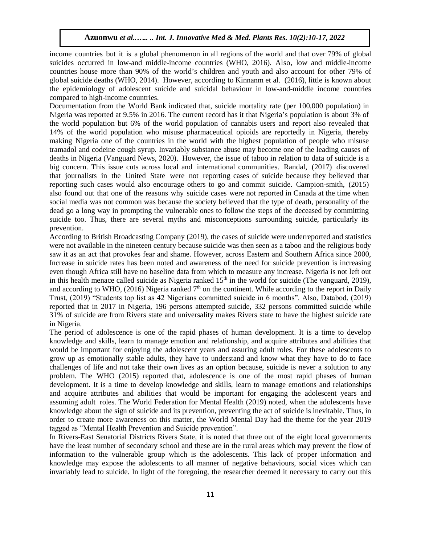income countries but it is a global phenomenon in all regions of the world and that over 79% of global suicides occurred in low-and middle-income countries (WHO, 2016). Also, low and middle-income countries house more than 90% of the world's children and youth and also account for other 79% of global suicide deaths (WHO, 2014). However, according to Kinnanm et al. (2016), little is known about the epidemiology of adolescent suicide and suicidal behaviour in low-and-middle income countries compared to high-income countries.

Documentation from the World Bank indicated that, suicide mortality rate (per 100,000 population) in Nigeria was reported at 9.5% in 2016. The current record has it that Nigeria's population is about 3% of the world population but 6% of the world population of cannabis users and report also revealed that 14% of the world population who misuse pharmaceutical opioids are reportedly in Nigeria, thereby making Nigeria one of the countries in the world with the highest population of people who misuse tramadol and codeine cough syrup. Invariably substance abuse may become one of the leading causes of deaths in Nigeria (Vanguard News, 2020). However, the issue of taboo in relation to data of suicide is a big concern. This issue cuts across local and international communities. Randal, (2017) discovered that journalists in the United State were not reporting cases of suicide because they believed that reporting such cases would also encourage others to go and commit suicide. Campion-smith, (2015) also found out that one of the reasons why suicide cases were not reported in Canada at the time when social media was not common was because the society believed that the type of death, personality of the dead go a long way in prompting the vulnerable ones to follow the steps of the deceased by committing suicide too. Thus, there are several myths and misconceptions surrounding suicide, particularly its prevention.

According to British Broadcasting Company (2019), the cases of suicide were underreported and statistics were not available in the nineteen century because suicide was then seen as a taboo and the religious body saw it as an act that provokes fear and shame. However, across Eastern and Southern Africa since 2000, Increase in suicide rates has been noted and awareness of the need for suicide prevention is increasing even though Africa still have no baseline data from which to measure any increase. Nigeria is not left out in this health menace called suicide as Nigeria ranked  $15<sup>th</sup>$  in the world for suicide (The vanguard, 2019), and according to WHO, (2016) Nigeria ranked  $7<sup>th</sup>$  on the continent. While according to the report in Daily Trust, (2019) "Students top list as 42 Nigerians committed suicide in 6 months". Also, Databod, (2019) reported that in 2017 in Nigeria, 196 persons attempted suicide, 332 persons committed suicide while 31% of suicide are from Rivers state and universality makes Rivers state to have the highest suicide rate in Nigeria.

The period of adolescence is one of the rapid phases of human development. It is a time to develop knowledge and skills, learn to manage emotion and relationship, and acquire attributes and abilities that would be important for enjoying the adolescent years and assuring adult roles. For these adolescents to grow up as emotionally stable adults, they have to understand and know what they have to do to face challenges of life and not take their own lives as an option because, suicide is never a solution to any problem. The WHO (2015) reported that, adolescence is one of the most rapid phases of human development. It is a time to develop knowledge and skills, learn to manage emotions and relationships and acquire attributes and abilities that would be important for engaging the adolescent years and assuming adult roles. The World Federation for Mental Health (2019) noted, when the adolescents have knowledge about the sign of suicide and its prevention, preventing the act of suicide is inevitable. Thus, in order to create more awareness on this matter, the World Mental Day had the theme for the year 2019 tagged as "Mental Health Prevention and Suicide prevention".

In Rivers-East Senatorial Districts Rivers State, it is noted that three out of the eight local governments have the least number of secondary school and these are in the rural areas which may prevent the flow of information to the vulnerable group which is the adolescents. This lack of proper information and knowledge may expose the adolescents to all manner of negative behaviours, social vices which can invariably lead to suicide. In light of the foregoing, the researcher deemed it necessary to carry out this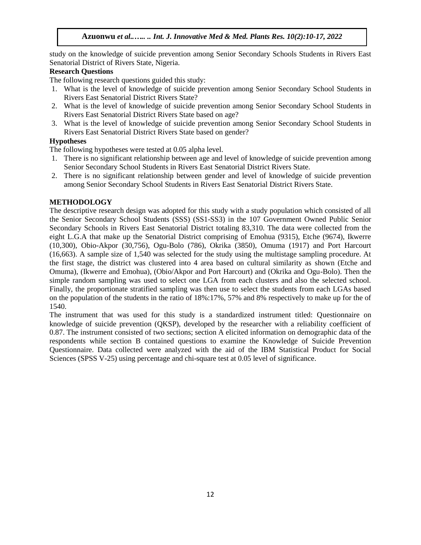study on the knowledge of suicide prevention among Senior Secondary Schools Students in Rivers East Senatorial District of Rivers State, Nigeria.

## **Research Questions**

The following research questions guided this study:

- 1. What is the level of knowledge of suicide prevention among Senior Secondary School Students in Rivers East Senatorial District Rivers State?
- 2. What is the level of knowledge of suicide prevention among Senior Secondary School Students in Rivers East Senatorial District Rivers State based on age?
- 3. What is the level of knowledge of suicide prevention among Senior Secondary School Students in Rivers East Senatorial District Rivers State based on gender?

## **Hypotheses**

The following hypotheses were tested at 0.05 alpha level.

- 1. There is no significant relationship between age and level of knowledge of suicide prevention among Senior Secondary School Students in Rivers East Senatorial District Rivers State.
- 2. There is no significant relationship between gender and level of knowledge of suicide prevention among Senior Secondary School Students in Rivers East Senatorial District Rivers State.

## **METHODOLOGY**

The descriptive research design was adopted for this study with a study population which consisted of all the Senior Secondary School Students (SSS) (SS1-SS3) in the 107 Government Owned Public Senior Secondary Schools in Rivers East Senatorial District totaling 83,310. The data were collected from the eight L.G.A that make up the Senatorial District comprising of Emohua (9315), Etche (9674), Ikwerre (10,300), Obio-Akpor (30,756), Ogu-Bolo (786), Okrika (3850), Omuma (1917) and Port Harcourt (16,663). A sample size of 1,540 was selected for the study using the multistage sampling procedure. At the first stage, the district was clustered into 4 area based on cultural similarity as shown (Etche and Omuma), (Ikwerre and Emohua), (Obio/Akpor and Port Harcourt) and (Okrika and Ogu-Bolo). Then the simple random sampling was used to select one LGA from each clusters and also the selected school. Finally, the proportionate stratified sampling was then use to select the students from each LGAs based on the population of the students in the ratio of 18%:17%, 57% and 8% respectively to make up for the of 1540.

The instrument that was used for this study is a standardized instrument titled: Questionnaire on knowledge of suicide prevention (QKSP), developed by the researcher with a reliability coefficient of 0.87. The instrument consisted of two sections; section A elicited information on demographic data of the respondents while section B contained questions to examine the Knowledge of Suicide Prevention Questionnaire. Data collected were analyzed with the aid of the IBM Statistical Product for Social Sciences (SPSS V-25) using percentage and chi-square test at 0.05 level of significance.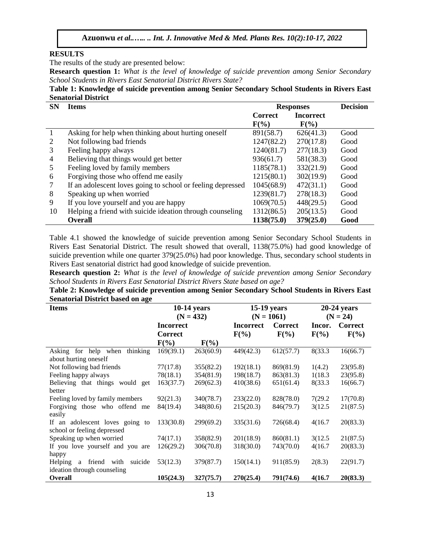#### **RESULTS**

The results of the study are presented below:

**Research question 1:** *What is the level of knowledge of suicide prevention among Senior Secondary School Students in Rivers East Senatorial District Rivers State?* 

**Table 1: Knowledge of suicide prevention among Senior Secondary School Students in Rivers East Senatorial District**

| <b>SN</b>    | <b>Items</b><br><b>Responses</b>                            |                |                  | <b>Decision</b> |
|--------------|-------------------------------------------------------------|----------------|------------------|-----------------|
|              |                                                             | <b>Correct</b> | <b>Incorrect</b> |                 |
|              |                                                             | $F(\%)$        | $F(\%)$          |                 |
| $\mathbf{1}$ | Asking for help when thinking about hurting oneself         | 891(58.7)      | 626(41.3)        | Good            |
| 2            | Not following bad friends                                   | 1247(82.2)     | 270(17.8)        | Good            |
| 3            | Feeling happy always                                        | 1240(81.7)     | 277(18.3)        | Good            |
| 4            | Believing that things would get better                      | 936(61.7)      | 581(38.3)        | Good            |
| 5            | Feeling loved by family members                             | 1185(78.1)     | 332(21.9)        | Good            |
| 6            | Forgiving those who offend me easily                        | 1215(80.1)     | 302(19.9)        | Good            |
|              | If an adolescent loves going to school or feeling depressed | 1045(68.9)     | 472(31.1)        | Good            |
| 8            | Speaking up when worried                                    | 1239(81.7)     | 278(18.3)        | Good            |
| 9            | If you love yourself and you are happy                      | 1069(70.5)     | 448(29.5)        | Good            |
| 10           | Helping a friend with suicide ideation through counseling   | 1312(86.5)     | 205(13.5)        | Good            |
|              | <b>Overall</b>                                              | 1138(75.0)     | 379(25.0)        | Good            |

Table 4.1 showed the knowledge of suicide prevention among Senior Secondary School Students in Rivers East Senatorial District. The result showed that overall, 1138(75.0%) had good knowledge of suicide prevention while one quarter 379(25.0%) had poor knowledge. Thus, secondary school students in Rivers East senatorial district had good knowledge of suicide prevention.

**Research question 2:** *What is the level of knowledge of suicide prevention among Senior Secondary School Students in Rivers East Senatorial District Rivers State based on age?* 

**Table 2: Knowledge of suicide prevention among Senior Secondary School Students in Rivers East Senatorial District based on age**

| <b>Items</b>                                     | <b>10-14 years</b> |           |                  | <b>15-19 years</b> | $20-24$ years |                |  |
|--------------------------------------------------|--------------------|-----------|------------------|--------------------|---------------|----------------|--|
|                                                  | $(N = 432)$        |           |                  | $(N = 1061)$       | $(N = 24)$    |                |  |
|                                                  | <b>Incorrect</b>   |           | <b>Incorrect</b> | <b>Correct</b>     | Incor.        | <b>Correct</b> |  |
|                                                  | <b>Correct</b>     |           | $F(\%)$          | $F(\%)$            | $F(\%)$       | $F(\%)$        |  |
|                                                  | $F(\%)$            | $F(\%)$   |                  |                    |               |                |  |
| Asking for help when<br>thinking                 | 169(39.1)          | 263(60.9) | 449(42.3)        | 612(57.7)          | 8(33.3)       | 16(66.7)       |  |
| about hurting oneself                            |                    |           |                  |                    |               |                |  |
| Not following bad friends                        | 77(17.8)           | 355(82.2) | 192(18.1)        | 869(81.9)          | 1(4.2)        | 23(95.8)       |  |
| Feeling happy always                             | 78(18.1)           | 354(81.9) | 198(18.7)        | 863(81.3)          | 1(18.3)       | 23(95.8)       |  |
| Believing that things<br>would get               | 163(37.7)          | 269(62.3) | 410(38.6)        | 651(61.4)          | 8(33.3)       | 16(66.7)       |  |
| better                                           |                    |           |                  |                    |               |                |  |
| Feeling loved by family members                  | 92(21.3)           | 340(78.7) | 233(22.0)        | 828(78.0)          | 7(29.2)       | 17(70.8)       |  |
| Forgiving those who offend me                    | 84(19.4)           | 348(80.6) | 215(20.3)        | 846(79.7)          | 3(12.5)       | 21(87.5)       |  |
| easily                                           |                    |           |                  |                    |               |                |  |
| If an adolescent loves going to                  | 133(30.8)          | 299(69.2) | 335(31.6)        | 726(68.4)          | 4(16.7)       | 20(83.3)       |  |
| school or feeling depressed                      |                    |           |                  |                    |               |                |  |
| Speaking up when worried                         | 74(17.1)           | 358(82.9) | 201(18.9)        | 860(81.1)          | 3(12.5)       | 21(87.5)       |  |
| If you love yourself and you are                 | 126(29.2)          | 306(70.8) | 318(30.0)        | 743(70.0)          | 4(16.7)       | 20(83.3)       |  |
| happy                                            |                    |           |                  |                    |               |                |  |
| friend<br>suicide<br>with<br><b>Helping</b><br>a | 53(12.3)           | 379(87.7) | 150(14.1)        | 911(85.9)          | 2(8.3)        | 22(91.7)       |  |
| ideation through counseling                      |                    |           |                  |                    |               |                |  |
| <b>Overall</b>                                   | 105(24.3)          | 327(75.7) | 270(25.4)        | 791(74.6)          | 4(16.7)       | 20(83.3)       |  |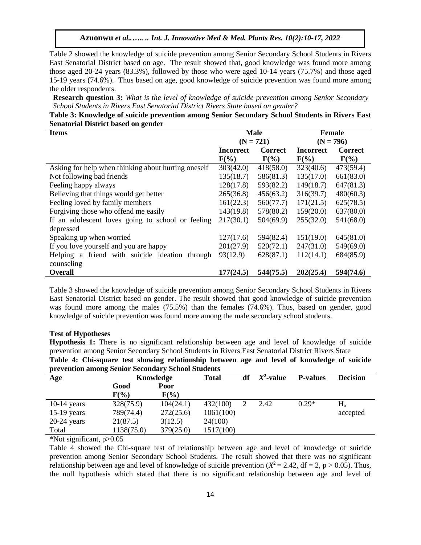Table 2 showed the knowledge of suicide prevention among Senior Secondary School Students in Rivers East Senatorial District based on age. The result showed that, good knowledge was found more among those aged 20-24 years (83.3%), followed by those who were aged 10-14 years (75.7%) and those aged 15-19 years (74.6%). Thus based on age, good knowledge of suicide prevention was found more among the older respondents.

**Research question 3:** *What is the level of knowledge of suicide prevention among Senior Secondary School Students in Rivers East Senatorial District Rivers State based on gender?* 

**Table 3: Knowledge of suicide prevention among Senior Secondary School Students in Rivers East Senatorial District based on gender**

| <b>Items</b>                                        |                  | <b>Male</b>    | <b>Female</b>    |                |
|-----------------------------------------------------|------------------|----------------|------------------|----------------|
|                                                     |                  | $(N = 721)$    | $(N = 796)$      |                |
|                                                     | <b>Incorrect</b> | <b>Correct</b> | <b>Incorrect</b> | <b>Correct</b> |
|                                                     | $F(\%)$          | $F(\%)$        | $F(\%)$          | $F(\%)$        |
| Asking for help when thinking about hurting oneself | 303(42.0)        | 418(58.0)      | 323(40.6)        | 473(59.4)      |
| Not following bad friends                           | 135(18.7)        | 586(81.3)      | 135(17.0)        | 661(83.0)      |
| Feeling happy always                                | 128(17.8)        | 593(82.2)      | 149(18.7)        | 647(81.3)      |
| Believing that things would get better              | 265(36.8)        | 456(63.2)      | 316(39.7)        | 480(60.3)      |
| Feeling loved by family members                     | 161(22.3)        | 560(77.7)      | 171(21.5)        | 625(78.5)      |
| Forgiving those who offend me easily                | 143(19.8)        | 578(80.2)      | 159(20.0)        | 637(80.0)      |
| If an adolescent loves going to school or feeling   | 217(30.1)        | 504(69.9)      | 255(32.0)        | 541(68.0)      |
| depressed                                           |                  |                |                  |                |
| Speaking up when worried                            | 127(17.6)        | 594(82.4)      | 151(19.0)        | 645(81.0)      |
| If you love yourself and you are happy              | 201(27.9)        | 520(72.1)      | 247(31.0)        | 549(69.0)      |
| Helping a friend with suicide ideation through      | 93(12.9)         | 628(87.1)      | 112(14.1)        | 684(85.9)      |
| counseling                                          |                  |                |                  |                |
| <b>Overall</b>                                      | 177(24.5)        | 544(75.5)      | 202(25.4)        | 594(74.6)      |

Table 3 showed the knowledge of suicide prevention among Senior Secondary School Students in Rivers East Senatorial District based on gender. The result showed that good knowledge of suicide prevention was found more among the males (75.5%) than the females (74.6%). Thus, based on gender, good knowledge of suicide prevention was found more among the male secondary school students.

#### **Test of Hypotheses**

**Hypothesis 1:** There is no significant relationship between age and level of knowledge of suicide prevention among Senior Secondary School Students in Rivers East Senatorial District Rivers State **Table 4: Chi-square test showing relationship between age and level of knowledge of suicide prevention among Senior Secondary School Students**

| Age           | Knowledge  |           | <b>Total</b> | df | $X^2$ -value | <b>P-values</b> | <b>Decision</b> |
|---------------|------------|-----------|--------------|----|--------------|-----------------|-----------------|
|               | Good       | Poor      |              |    |              |                 |                 |
|               | $F(\%)$    | $F(\%)$   |              |    |              |                 |                 |
| $10-14$ years | 328(75.9)  | 104(24.1) | 432(100)     |    | 2.42         | $0.29*$         | $H_{o}$         |
| $15-19$ years | 789(74.4)  | 272(25.6) | 1061(100)    |    |              |                 | accepted        |
| $20-24$ years | 21(87.5)   | 3(12.5)   | 24(100)      |    |              |                 |                 |
| Total         | 1138(75.0) | 379(25.0) | 1517(100)    |    |              |                 |                 |

\*Not significant, p>0.05

Table 4 showed the Chi-square test of relationship between age and level of knowledge of suicide prevention among Senior Secondary School Students. The result showed that there was no significant relationship between age and level of knowledge of suicide prevention  $(X^2 = 2.42, df = 2, p > 0.05)$ . Thus, the null hypothesis which stated that there is no significant relationship between age and level of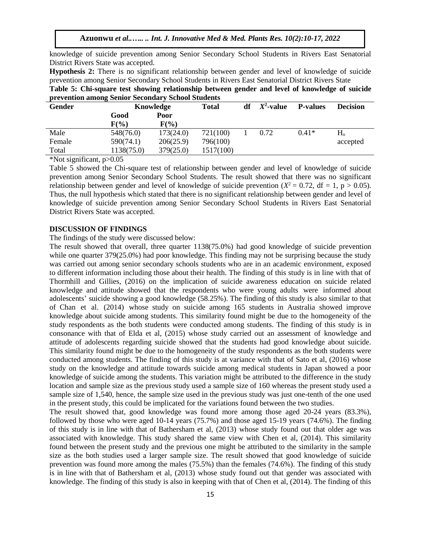**Azuonwu** *et al..….. .. Int. J. Innovative Med & Med. Plants Res. 10(2):10-17, 2022*

knowledge of suicide prevention among Senior Secondary School Students in Rivers East Senatorial District Rivers State was accepted.

**Hypothesis 2:** There is no significant relationship between gender and level of knowledge of suicide prevention among Senior Secondary School Students in Rivers East Senatorial District Rivers State

**Table 5: Chi-square test showing relationship between gender and level of knowledge of suicide prevention among Senior Secondary School Students**

| <b>Gender</b> | Knowledge  |           | <b>Total</b> | df | $X^2$ -value | <b>P-values</b> | <b>Decision</b> |
|---------------|------------|-----------|--------------|----|--------------|-----------------|-----------------|
|               | Good       | Poor      |              |    |              |                 |                 |
|               | F(%)       | $F(\%)$   |              |    |              |                 |                 |
| Male          | 548(76.0)  | 173(24.0) | 721(100)     |    | 0.72         | $0.41*$         | H <sub>o</sub>  |
| Female        | 590(74.1)  | 206(25.9) | 796(100)     |    |              |                 | accepted        |
| Total         | 1138(75.0) | 379(25.0) | 1517(100)    |    |              |                 |                 |

\*Not significant, p>0.05

Table 5 showed the Chi-square test of relationship between gender and level of knowledge of suicide prevention among Senior Secondary School Students. The result showed that there was no significant relationship between gender and level of knowledge of suicide prevention  $(X^2 = 0.72, df = 1, p > 0.05)$ . Thus, the null hypothesis which stated that there is no significant relationship between gender and level of knowledge of suicide prevention among Senior Secondary School Students in Rivers East Senatorial District Rivers State was accepted.

#### **DISCUSSION OF FINDINGS**

## The findings of the study were discussed below:

The result showed that overall, three quarter 1138(75.0%) had good knowledge of suicide prevention while one quarter 379(25.0%) had poor knowledge. This finding may not be surprising because the study was carried out among senior secondary schools students who are in an academic environment, exposed to different information including those about their health. The finding of this study is in line with that of Thormhill and Gillies, (2016) on the implication of suicide awareness education on suicide related knowledge and attitude showed that the respondents who were young adults were informed about adolescents' suicide showing a good knowledge (58.25%). The finding of this study is also similar to that of Chan et al. (2014) whose study on suicide among 165 students in Australia showed improve knowledge about suicide among students. This similarity found might be due to the homogeneity of the study respondents as the both students were conducted among students. The finding of this study is in consonance with that of Elda et al, (2015) whose study carried out an assessment of knowledge and attitude of adolescents regarding suicide showed that the students had good knowledge about suicide. This similarity found might be due to the homogeneity of the study respondents as the both students were conducted among students. The finding of this study is at variance with that of Sato et al, (2016) whose study on the knowledge and attitude towards suicide among medical students in Japan showed a poor knowledge of suicide among the students. This variation might be attributed to the difference in the study location and sample size as the previous study used a sample size of 160 whereas the present study used a sample size of 1,540, hence, the sample size used in the previous study was just one-tenth of the one used in the present study, this could be implicated for the variations found between the two studies.

The result showed that, good knowledge was found more among those aged 20-24 years (83.3%), followed by those who were aged 10-14 years (75.7%) and those aged 15-19 years (74.6%). The finding of this study is in line with that of Bathersham et al, (2013) whose study found out that older age was associated with knowledge. This study shared the same view with Chen et al, (2014). This similarity found between the present study and the previous one might be attributed to the similarity in the sample size as the both studies used a larger sample size. The result showed that good knowledge of suicide prevention was found more among the males (75.5%) than the females (74.6%). The finding of this study is in line with that of Bathersham et al, (2013) whose study found out that gender was associated with knowledge. The finding of this study is also in keeping with that of Chen et al, (2014). The finding of this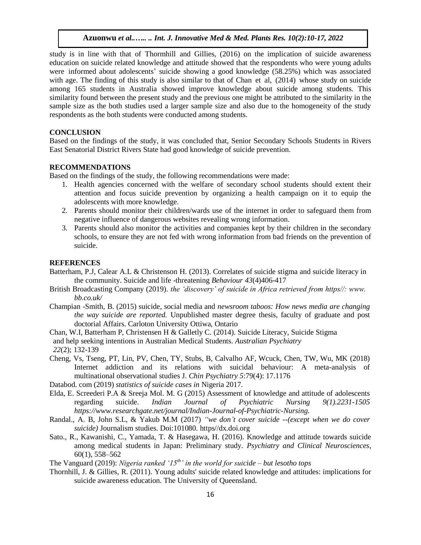study is in line with that of Thormhill and Gillies, (2016) on the implication of suicide awareness education on suicide related knowledge and attitude showed that the respondents who were young adults were informed about adolescents' suicide showing a good knowledge (58.25%) which was associated with age. The finding of this study is also similar to that of Chan et al,  $(2014)$  whose study on suicide among 165 students in Australia showed improve knowledge about suicide among students. This similarity found between the present study and the previous one might be attributed to the similarity in the sample size as the both studies used a larger sample size and also due to the homogeneity of the study respondents as the both students were conducted among students.

### **CONCLUSION**

Based on the findings of the study, it was concluded that, Senior Secondary Schools Students in Rivers East Senatorial District Rivers State had good knowledge of suicide prevention.

## **RECOMMENDATIONS**

Based on the findings of the study, the following recommendations were made:

- 1. Health agencies concerned with the welfare of secondary school students should extent their attention and focus suicide prevention by organizing a health campaign on it to equip the adolescents with more knowledge.
- 2. Parents should monitor their children/wards use of the internet in order to safeguard them from negative influence of dangerous websites revealing wrong information.
- 3. Parents should also monitor the activities and companies kept by their children in the secondary schools, to ensure they are not fed with wrong information from bad friends on the prevention of suicide.

#### **REFERENCES**

- Batterham, P.J, Calear A.L & Christenson H. (2013). Correlates of suicide stigma and suicide literacy in the community. Suicide and life -threatening *Behaviour 43*(4)406-417
- British Broadcasting Company (2019). *the 'discovery' of suicide in Africa retrieved from https//: www. bb.co.uk/*
- Champian -Smith, B. (2015) suicide, social media and *newsroom taboos: How news media are changing the way suicide are reported.* Unpublished master degree thesis, faculty of graduate and post doctorial Affairs. Carloton University Ottiwa, Ontario
- Chan, W.I, Batterham P, Christensen H & Galletly C. (2014). Suicide Literacy, Suicide Stigma and help seeking intentions in Australian Medical Students. *Australian Psychiatry 22*(2); 132-139
- Cheng, Vs, Tseng, PT, Lin, PV, Chen, TY, Stubs, B, Calvalho AF, Wcuck, Chen, TW, Wu, MK (2018) Internet addiction and its relations with suicidal behaviour: A meta-analysis of multinational observational studies J. *Chin Psychiatry 5*:79(4): 17.1176
- Databod. com (2019) *statistics of suicide cases in* Nigeria 2017*.*
- Elda, E. Screederi P.A & Sreeja Mol. M. G (2015) Assessment of knowledge and attitude of adolescents regarding suicide. *Indian Journal of Psychiatric Nursing 9(1).2231-1505 https://www.researchgate.net/journal/Indian-Journal-of-Psychiatric-Nursing.*
- Randal., A. B, John S.L, & Yakub M.M (2017) *"we don't cover suicide --(except when we do cover suicide)* Journalism studies. Doi:101080. https//dx.doi.org
- Sato., R., Kawanishi, C., Yamada, T. & Hasegawa, H. (2016). Knowledge and attitude towards suicide among medical students in Japan: Preliminary study. *Psychiatry and Clinical Neurosciences*, 60(1), 558–562

The Vanguard (2019): *Nigeria ranked '15th' in the world for suicide – but lesotho tops* 

Thornhill, J. & Gillies, R. (2011). Young adults' suicide related knowledge and attitudes: implications for suicide awareness education*.* The University of Queensland.